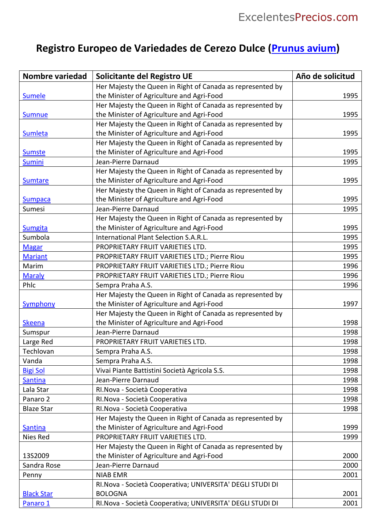## **Registro Europeo de Variedades de Cerezo Dulce [\(Prunus](https://excelentesprecios.com/prunus-avium) avium)**

| <b>Nombre variedad</b> | Solicitante del Registro UE                                | Año de solicitud |
|------------------------|------------------------------------------------------------|------------------|
|                        | Her Majesty the Queen in Right of Canada as represented by |                  |
| <b>Sumele</b>          | the Minister of Agriculture and Agri-Food                  | 1995             |
|                        | Her Majesty the Queen in Right of Canada as represented by |                  |
| <b>Sumnue</b>          | the Minister of Agriculture and Agri-Food                  | 1995             |
|                        | Her Majesty the Queen in Right of Canada as represented by |                  |
| <b>Sumleta</b>         | the Minister of Agriculture and Agri-Food                  | 1995             |
|                        | Her Majesty the Queen in Right of Canada as represented by |                  |
| <b>Sumste</b>          | the Minister of Agriculture and Agri-Food                  | 1995             |
| <b>Sumini</b>          | Jean-Pierre Darnaud                                        | 1995             |
|                        | Her Majesty the Queen in Right of Canada as represented by |                  |
| <b>Sumtare</b>         | the Minister of Agriculture and Agri-Food                  | 1995             |
|                        | Her Majesty the Queen in Right of Canada as represented by |                  |
| <b>Sumpaca</b>         | the Minister of Agriculture and Agri-Food                  | 1995             |
| Sumesi                 | Jean-Pierre Darnaud                                        | 1995             |
|                        | Her Majesty the Queen in Right of Canada as represented by |                  |
| <b>Sumgita</b>         | the Minister of Agriculture and Agri-Food                  | 1995             |
| Sumbola                | International Plant Selection S.A.R.L.                     | 1995             |
| <b>Magar</b>           | PROPRIETARY FRUIT VARIETIES LTD.                           | 1995             |
| <b>Mariant</b>         | PROPRIETARY FRUIT VARIETIES LTD.; Pierre Riou              | 1995             |
| Marim                  | PROPRIETARY FRUIT VARIETIES LTD.; Pierre Riou              | 1996             |
| <b>Maraly</b>          | PROPRIETARY FRUIT VARIETIES LTD.; Pierre Riou              | 1996             |
| Phic                   | Sempra Praha A.S.                                          | 1996             |
|                        | Her Majesty the Queen in Right of Canada as represented by |                  |
| Symphony               | the Minister of Agriculture and Agri-Food                  | 1997             |
|                        | Her Majesty the Queen in Right of Canada as represented by |                  |
| <b>Skeena</b>          | the Minister of Agriculture and Agri-Food                  | 1998             |
| Sumspur                | Jean-Pierre Darnaud                                        | 1998             |
| Large Red              | PROPRIETARY FRUIT VARIETIES LTD.                           | 1998             |
| Techlovan              | Sempra Praha A.S.                                          | 1998             |
| Vanda                  | Sempra Praha A.S.                                          | 1998             |
| <b>Bigi Sol</b>        | Vivai Piante Battistini Società Agricola S.S.              | 1998             |
| Santina                | Jean-Pierre Darnaud                                        | 1998             |
| Lala Star              | RI. Nova - Società Cooperativa                             | 1998             |
| Panaro 2               | RI. Nova - Società Cooperativa                             | 1998             |
| <b>Blaze Star</b>      | RI. Nova - Società Cooperativa                             | 1998             |
|                        | Her Majesty the Queen in Right of Canada as represented by |                  |
| <b>Santina</b>         | the Minister of Agriculture and Agri-Food                  | 1999             |
| Nies Red               | PROPRIETARY FRUIT VARIETIES LTD.                           | 1999             |
|                        | Her Majesty the Queen in Right of Canada as represented by |                  |
| 13S2009                | the Minister of Agriculture and Agri-Food                  | 2000             |
| Sandra Rose            | Jean-Pierre Darnaud                                        | 2000             |
| Penny                  | <b>NIAB EMR</b>                                            | 2001             |
|                        | RI. Nova - Società Cooperativa; UNIVERSITA' DEGLI STUDI DI |                  |
| <b>Black Star</b>      | <b>BOLOGNA</b>                                             | 2001             |
| Panaro 1               | RI. Nova - Società Cooperativa; UNIVERSITA' DEGLI STUDI DI | 2001             |
|                        |                                                            |                  |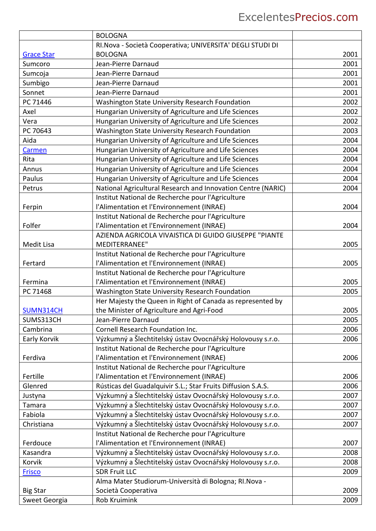|                   | <b>BOLOGNA</b>                                               |      |
|-------------------|--------------------------------------------------------------|------|
|                   | RI. Nova - Società Cooperativa; UNIVERSITA' DEGLI STUDI DI   |      |
| <b>Grace Star</b> | <b>BOLOGNA</b>                                               | 2001 |
| Sumcoro           | Jean-Pierre Darnaud                                          | 2001 |
| Sumcoja           | Jean-Pierre Darnaud                                          | 2001 |
| Sumbigo           | Jean-Pierre Darnaud                                          | 2001 |
| Sonnet            | Jean-Pierre Darnaud                                          | 2001 |
| PC 71446          | Washington State University Research Foundation              | 2002 |
| Axel              | Hungarian University of Agriculture and Life Sciences        | 2002 |
| Vera              | Hungarian University of Agriculture and Life Sciences        | 2002 |
| PC 70643          | Washington State University Research Foundation              | 2003 |
| Aida              | Hungarian University of Agriculture and Life Sciences        | 2004 |
| Carmen            | Hungarian University of Agriculture and Life Sciences        | 2004 |
| Rita              | Hungarian University of Agriculture and Life Sciences        | 2004 |
| Annus             | Hungarian University of Agriculture and Life Sciences        | 2004 |
| Paulus            | Hungarian University of Agriculture and Life Sciences        | 2004 |
| Petrus            | National Agricultural Research and Innovation Centre (NARIC) | 2004 |
|                   | Institut National de Recherche pour l'Agriculture            |      |
| Ferpin            | l'Alimentation et l'Environnement (INRAE)                    | 2004 |
|                   | Institut National de Recherche pour l'Agriculture            |      |
| Folfer            | l'Alimentation et l'Environnement (INRAE)                    | 2004 |
|                   | AZIENDA AGRICOLA VIVAISTICA DI GUIDO GIUSEPPE "PIANTE        |      |
| Medit Lisa        | <b>MEDITERRANEE"</b>                                         | 2005 |
|                   | Institut National de Recherche pour l'Agriculture            |      |
| Fertard           | l'Alimentation et l'Environnement (INRAE)                    | 2005 |
|                   | Institut National de Recherche pour l'Agriculture            |      |
| Fermina           | l'Alimentation et l'Environnement (INRAE)                    | 2005 |
| PC 71468          | Washington State University Research Foundation              | 2005 |
|                   | Her Majesty the Queen in Right of Canada as represented by   |      |
| SUMN314CH         | the Minister of Agriculture and Agri-Food                    | 2005 |
| SUMS313CH         | Jean-Pierre Darnaud                                          | 2005 |
| Cambrina          | Cornell Research Foundation Inc.                             | 2006 |
| Early Korvik      | Výzkumný a Šlechtitelský ústav Ovocnářský Holovousy s.r.o.   | 2006 |
|                   | Institut National de Recherche pour l'Agriculture            |      |
| Ferdiva           | l'Alimentation et l'Environnement (INRAE)                    | 2006 |
|                   | Institut National de Recherche pour l'Agriculture            |      |
| Fertille          | l'Alimentation et l'Environnement (INRAE)                    | 2006 |
| Glenred           | Rústicas del Guadalquivir S.L.; Star Fruits Diffusion S.A.S. | 2006 |
| Justyna           | Výzkumný a Šlechtitelský ústav Ovocnářský Holovousy s.r.o.   | 2007 |
| Tamara            | Výzkumný a Šlechtitelský ústav Ovocnářský Holovousy s.r.o.   | 2007 |
| Fabiola           | Výzkumný a Šlechtitelský ústav Ovocnářský Holovousy s.r.o.   | 2007 |
| Christiana        | Výzkumný a Šlechtitelský ústav Ovocnářský Holovousy s.r.o.   | 2007 |
|                   | Institut National de Recherche pour l'Agriculture            |      |
| Ferdouce          | l'Alimentation et l'Environnement (INRAE)                    | 2007 |
| Kasandra          | Výzkumný a Šlechtitelský ústav Ovocnářský Holovousy s.r.o.   | 2008 |
| Korvik            | Výzkumný a Šlechtitelský ústav Ovocnářský Holovousy s.r.o.   | 2008 |
| <b>Frisco</b>     | <b>SDR Fruit LLC</b>                                         | 2009 |
|                   | Alma Mater Studiorum-Università di Bologna; RI. Nova -       |      |
| <b>Big Star</b>   | Società Cooperativa                                          | 2009 |
| Sweet Georgia     | Rob Kruimink                                                 | 2009 |
|                   |                                                              |      |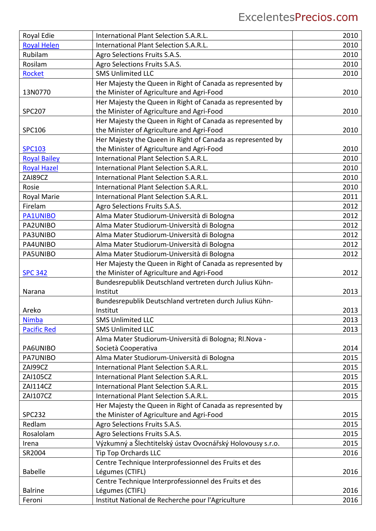## ExcelentesPrecios.com

| Royal Edie          | International Plant Selection S.A.R.L.                     | 2010 |
|---------------------|------------------------------------------------------------|------|
| <b>Royal Helen</b>  | International Plant Selection S.A.R.L.                     | 2010 |
| Rubilam             | Agro Selections Fruits S.A.S.                              | 2010 |
| Rosilam             | Agro Selections Fruits S.A.S.                              | 2010 |
| <b>Rocket</b>       | <b>SMS Unlimited LLC</b>                                   | 2010 |
|                     | Her Majesty the Queen in Right of Canada as represented by |      |
| 13N0770             | the Minister of Agriculture and Agri-Food                  | 2010 |
|                     | Her Majesty the Queen in Right of Canada as represented by |      |
| <b>SPC207</b>       | the Minister of Agriculture and Agri-Food                  | 2010 |
|                     | Her Majesty the Queen in Right of Canada as represented by |      |
| SPC106              | the Minister of Agriculture and Agri-Food                  | 2010 |
|                     | Her Majesty the Queen in Right of Canada as represented by |      |
| <b>SPC103</b>       | the Minister of Agriculture and Agri-Food                  | 2010 |
| <b>Royal Bailey</b> | International Plant Selection S.A.R.L.                     | 2010 |
| <b>Royal Hazel</b>  | International Plant Selection S.A.R.L.                     | 2010 |
| ZAI89CZ             | International Plant Selection S.A.R.L.                     | 2010 |
| Rosie               | International Plant Selection S.A.R.L.                     | 2010 |
| Royal Marie         | International Plant Selection S.A.R.L.                     | 2011 |
| Firelam             | Agro Selections Fruits S.A.S.                              | 2012 |
| <b>PA1UNIBO</b>     | Alma Mater Studiorum-Università di Bologna                 | 2012 |
| PA2UNIBO            | Alma Mater Studiorum-Università di Bologna                 | 2012 |
| PA3UNIBO            | Alma Mater Studiorum-Università di Bologna                 | 2012 |
| PA4UNIBO            | Alma Mater Studiorum-Università di Bologna                 | 2012 |
| PA5UNIBO            | Alma Mater Studiorum-Università di Bologna                 | 2012 |
|                     | Her Majesty the Queen in Right of Canada as represented by |      |
| <b>SPC 342</b>      | the Minister of Agriculture and Agri-Food                  | 2012 |
|                     | Bundesrepublik Deutschland vertreten durch Julius Kühn-    |      |
| Narana              | Institut                                                   | 2013 |
|                     | Bundesrepublik Deutschland vertreten durch Julius Kühn-    |      |
| Areko               | Institut                                                   | 2013 |
| <b>Nimba</b>        | <b>SMS Unlimited LLC</b>                                   | 2013 |
| <b>Pacific Red</b>  | <b>SMS Unlimited LLC</b>                                   | 2013 |
|                     | Alma Mater Studiorum-Università di Bologna; RI. Nova -     |      |
| PA6UNIBO            | Società Cooperativa                                        | 2014 |
| PA7UNIBO            | Alma Mater Studiorum-Università di Bologna                 | 2015 |
| ZAI99CZ             | International Plant Selection S.A.R.L.                     | 2015 |
| <b>ZAI105CZ</b>     | International Plant Selection S.A.R.L.                     | 2015 |
| ZAI114CZ            | International Plant Selection S.A.R.L.                     | 2015 |
| ZAI107CZ            | International Plant Selection S.A.R.L.                     | 2015 |
|                     | Her Majesty the Queen in Right of Canada as represented by |      |
| <b>SPC232</b>       | the Minister of Agriculture and Agri-Food                  | 2015 |
| Redlam              | Agro Selections Fruits S.A.S.                              | 2015 |
| Rosalolam           | Agro Selections Fruits S.A.S.                              | 2015 |
| Irena               | Výzkumný a Šlechtitelský ústav Ovocnářský Holovousy s.r.o. | 2015 |
| SR2004              | <b>Tip Top Orchards LLC</b>                                | 2016 |
|                     | Centre Technique Interprofessionnel des Fruits et des      |      |
| <b>Babelle</b>      | Légumes (CTIFL)                                            | 2016 |
|                     | Centre Technique Interprofessionnel des Fruits et des      |      |
| <b>Balrine</b>      | Légumes (CTIFL)                                            | 2016 |
| Feroni              | Institut National de Recherche pour l'Agriculture          | 2016 |